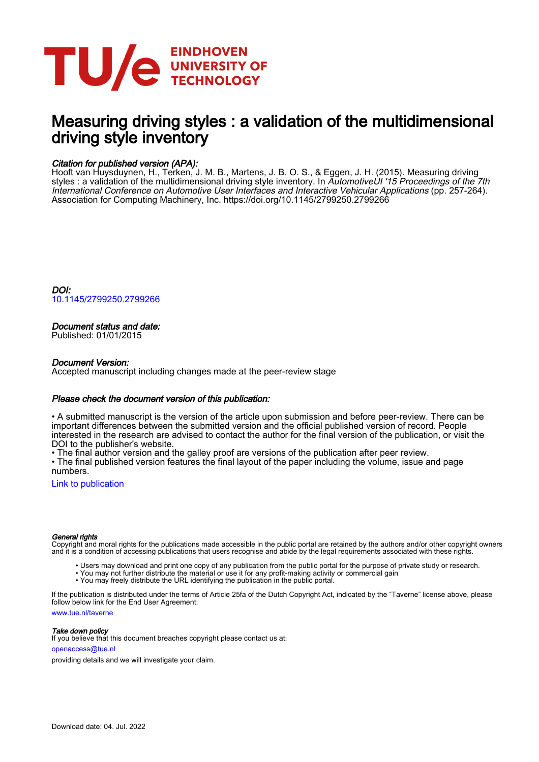

# Measuring driving styles : a validation of the multidimensional driving style inventory

### Citation for published version (APA):

Hooft van Huysduynen, H., Terken, J. M. B., Martens, J. B. O. S., & Eggen, J. H. (2015). Measuring driving styles : a validation of the multidimensional driving style inventory. In *AutomotiveUI '15 Proceedings of the 7th* International Conference on Automotive User Interfaces and Interactive Vehicular Applications (pp. 257-264). Association for Computing Machinery, Inc. <https://doi.org/10.1145/2799250.2799266>

DOI: [10.1145/2799250.2799266](https://doi.org/10.1145/2799250.2799266)

### Document status and date:

Published: 01/01/2015

#### Document Version:

Accepted manuscript including changes made at the peer-review stage

#### Please check the document version of this publication:

• A submitted manuscript is the version of the article upon submission and before peer-review. There can be important differences between the submitted version and the official published version of record. People interested in the research are advised to contact the author for the final version of the publication, or visit the DOI to the publisher's website.

• The final author version and the galley proof are versions of the publication after peer review.

• The final published version features the final layout of the paper including the volume, issue and page numbers.

[Link to publication](https://research.tue.nl/en/publications/51f974b7-80ff-40d3-85bb-9d5f626a063d)

#### General rights

Copyright and moral rights for the publications made accessible in the public portal are retained by the authors and/or other copyright owners and it is a condition of accessing publications that users recognise and abide by the legal requirements associated with these rights.

- Users may download and print one copy of any publication from the public portal for the purpose of private study or research.
- You may not further distribute the material or use it for any profit-making activity or commercial gain
- You may freely distribute the URL identifying the publication in the public portal.

If the publication is distributed under the terms of Article 25fa of the Dutch Copyright Act, indicated by the "Taverne" license above, please follow below link for the End User Agreement:

www.tue.nl/taverne

**Take down policy**<br>If you believe that this document breaches copyright please contact us at:

openaccess@tue.nl

providing details and we will investigate your claim.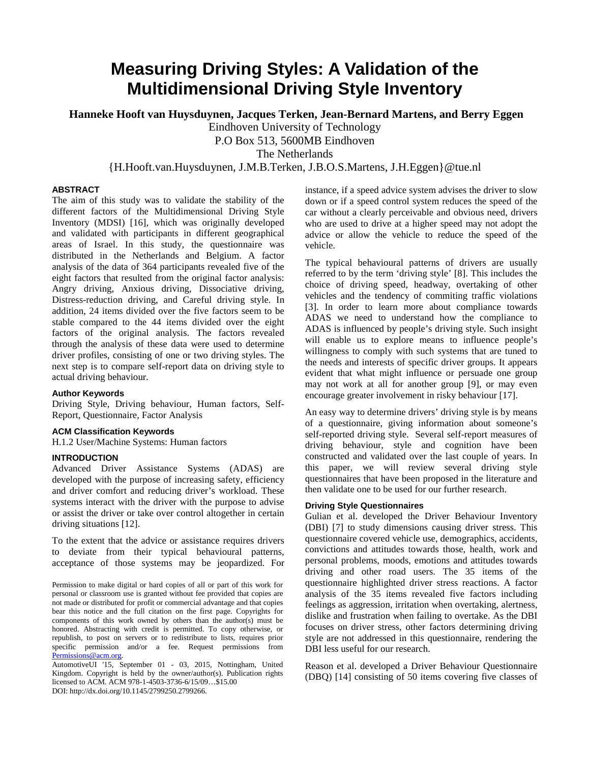# **Measuring Driving Styles: A Validation of the Multidimensional Driving Style Inventory**

**Hanneke Hooft van Huysduynen, Jacques Terken, Jean-Bernard Martens, and Berry Eggen**

Eindhoven University of Technology

P.O Box 513, 5600MB Eindhoven

The Netherlands

## {H.Hooft.van.Huysduynen, J.M.B.Terken, J.B.O.S.Martens, J.H.Eggen}@tue.nl

#### **ABSTRACT**

The aim of this study was to validate the stability of the different factors of the Multidimensional Driving Style Inventory (MDSI) [16], which was originally developed and validated with participants in different geographical areas of Israel. In this study, the questionnaire was distributed in the Netherlands and Belgium. A factor analysis of the data of 364 participants revealed five of the eight factors that resulted from the original factor analysis: Angry driving, Anxious driving, Dissociative driving, Distress-reduction driving, and Careful driving style. In addition, 24 items divided over the five factors seem to be stable compared to the 44 items divided over the eight factors of the original analysis. The factors revealed through the analysis of these data were used to determine driver profiles, consisting of one or two driving styles. The next step is to compare self-report data on driving style to actual driving behaviour.

### **Author Keywords**

Driving Style, Driving behaviour, Human factors, Self-Report, Questionnaire, Factor Analysis

#### **ACM Classification Keywords**

H.1.2 User/Machine Systems: Human factors

### **INTRODUCTION**

Advanced Driver Assistance Systems (ADAS) are developed with the purpose of increasing safety, efficiency and driver comfort and reducing driver's workload. These systems interact with the driver with the purpose to advise or assist the driver or take over control altogether in certain driving situations [12].

To the extent that the advice or assistance requires drivers to deviate from their typical behavioural patterns, acceptance of those systems may be jeopardized. For

Permission to make digital or hard copies of all or part of this work for personal or classroom use is granted without fee provided that copies are not made or distributed for profit or commercial advantage and that copies bear this notice and the full citation on the first page. Copyrights for components of this work owned by others than the author(s) must be honored. Abstracting with credit is permitted. To copy otherwise, or republish, to post on servers or to redistribute to lists, requires prior specific permission and/or a fee. Request permissions from [Permissions@acm.org.](mailto:Permissions@acm.org)

AutomotiveUI '15, September 01 - 03, 2015, Nottingham, United Kingdom. Copyright is held by the owner/author(s). Publication rights licensed to ACM. ACM 978-1-4503-3736-6/15/09…\$15.00 DOI: http://dx.doi.org/10.1145/2799250.2799266.

instance, if a speed advice system advises the driver to slow down or if a speed control system reduces the speed of the car without a clearly perceivable and obvious need, drivers who are used to drive at a higher speed may not adopt the advice or allow the vehicle to reduce the speed of the vehicle.

The typical behavioural patterns of drivers are usually referred to by the term 'driving style' [8]. This includes the choice of driving speed, headway, overtaking of other vehicles and the tendency of commiting traffic violations [3]. In order to learn more about compliance towards ADAS we need to understand how the compliance to ADAS is influenced by people's driving style. Such insight will enable us to explore means to influence people's willingness to comply with such systems that are tuned to the needs and interests of specific driver groups. It appears evident that what might influence or persuade one group may not work at all for another group [9], or may even encourage greater involvement in risky behaviour [17].

An easy way to determine drivers' driving style is by means of a questionnaire, giving information about someone's self-reported driving style. Several self-report measures of driving behaviour, style and cognition have been constructed and validated over the last couple of years. In this paper, we will review several driving style questionnaires that have been proposed in the literature and then validate one to be used for our further research.

#### **Driving Style Questionnaires**

Gulian et al. developed the Driver Behaviour Inventory (DBI) [7] to study dimensions causing driver stress. This questionnaire covered vehicle use, demographics, accidents, convictions and attitudes towards those, health, work and personal problems, moods, emotions and attitudes towards driving and other road users. The 35 items of the questionnaire highlighted driver stress reactions. A factor analysis of the 35 items revealed five factors including feelings as aggression, irritation when overtaking, alertness, dislike and frustration when failing to overtake. As the DBI focuses on driver stress, other factors determining driving style are not addressed in this questionnaire, rendering the DBI less useful for our research.

Reason et al. developed a Driver Behaviour Questionnaire (DBQ) [14] consisting of 50 items covering five classes of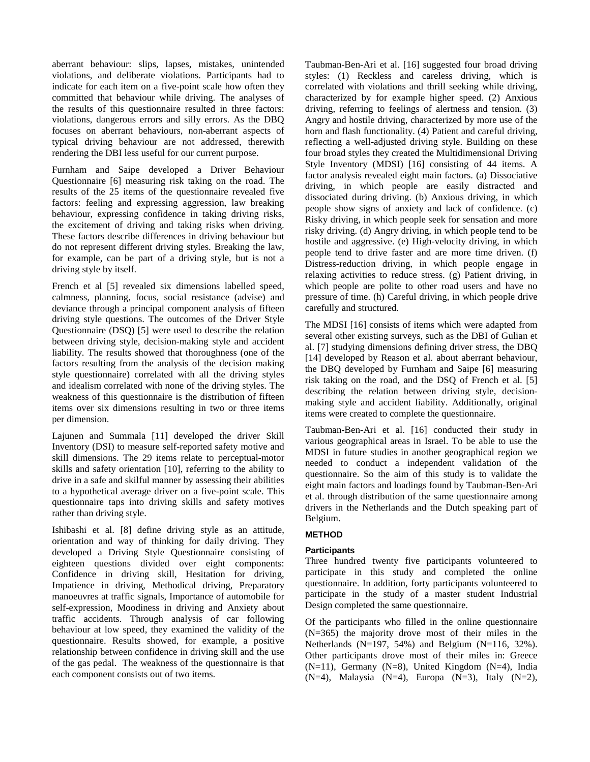aberrant behaviour: slips, lapses, mistakes, unintended violations, and deliberate violations. Participants had to indicate for each item on a five-point scale how often they committed that behaviour while driving. The analyses of the results of this questionnaire resulted in three factors: violations, dangerous errors and silly errors. As the DBQ focuses on aberrant behaviours, non-aberrant aspects of typical driving behaviour are not addressed, therewith rendering the DBI less useful for our current purpose.

Furnham and Saipe developed a Driver Behaviour Questionnaire [6] measuring risk taking on the road. The results of the 25 items of the questionnaire revealed five factors: feeling and expressing aggression, law breaking behaviour, expressing confidence in taking driving risks, the excitement of driving and taking risks when driving. These factors describe differences in driving behaviour but do not represent different driving styles. Breaking the law, for example, can be part of a driving style, but is not a driving style by itself.

French et al [5] revealed six dimensions labelled speed, calmness, planning, focus, social resistance (advise) and deviance through a principal component analysis of fifteen driving style questions. The outcomes of the Driver Style Questionnaire (DSQ) [5] were used to describe the relation between driving style, decision-making style and accident liability. The results showed that thoroughness (one of the factors resulting from the analysis of the decision making style questionnaire) correlated with all the driving styles and idealism correlated with none of the driving styles. The weakness of this questionnaire is the distribution of fifteen items over six dimensions resulting in two or three items per dimension.

Lajunen and Summala [11] developed the driver Skill Inventory (DSI) to measure self-reported safety motive and skill dimensions. The 29 items relate to perceptual-motor skills and safety orientation [10], referring to the ability to drive in a safe and skilful manner by assessing their abilities to a hypothetical average driver on a five-point scale. This questionnaire taps into driving skills and safety motives rather than driving style.

Ishibashi et al. [8] define driving style as an attitude, orientation and way of thinking for daily driving. They developed a Driving Style Questionnaire consisting of eighteen questions divided over eight components: Confidence in driving skill, Hesitation for driving, Impatience in driving, Methodical driving, Preparatory manoeuvres at traffic signals, Importance of automobile for self-expression, Moodiness in driving and Anxiety about traffic accidents. Through analysis of car following behaviour at low speed, they examined the validity of the questionnaire. Results showed, for example, a positive relationship between confidence in driving skill and the use of the gas pedal. The weakness of the questionnaire is that each component consists out of two items.

Taubman-Ben-Ari et al. [16] suggested four broad driving styles: (1) Reckless and careless driving, which is correlated with violations and thrill seeking while driving, characterized by for example higher speed. (2) Anxious driving, referring to feelings of alertness and tension. (3) Angry and hostile driving, characterized by more use of the horn and flash functionality. (4) Patient and careful driving, reflecting a well-adjusted driving style. Building on these four broad styles they created the Multidimensional Driving Style Inventory (MDSI) [16] consisting of 44 items. A factor analysis revealed eight main factors. (a) Dissociative driving, in which people are easily distracted and dissociated during driving. (b) Anxious driving, in which people show signs of anxiety and lack of confidence. (c) Risky driving, in which people seek for sensation and more risky driving. (d) Angry driving, in which people tend to be hostile and aggressive. (e) High-velocity driving, in which people tend to drive faster and are more time driven. (f) Distress-reduction driving, in which people engage in relaxing activities to reduce stress. (g) Patient driving, in which people are polite to other road users and have no pressure of time. (h) Careful driving, in which people drive carefully and structured.

The MDSI [16] consists of items which were adapted from several other existing surveys, such as the DBI of Gulian et al. [7] studying dimensions defining driver stress, the DBQ [14] developed by Reason et al. about aberrant behaviour, the DBQ developed by Furnham and Saipe [6] measuring risk taking on the road, and the DSQ of French et al. [5] describing the relation between driving style, decisionmaking style and accident liability. Additionally, original items were created to complete the questionnaire.

Taubman-Ben-Ari et al. [16] conducted their study in various geographical areas in Israel. To be able to use the MDSI in future studies in another geographical region we needed to conduct a independent validation of the questionnaire. So the aim of this study is to validate the eight main factors and loadings found by Taubman-Ben-Ari et al. through distribution of the same questionnaire among drivers in the Netherlands and the Dutch speaking part of Belgium.

#### **METHOD**

### **Participants**

Three hundred twenty five participants volunteered to participate in this study and completed the online questionnaire. In addition, forty participants volunteered to participate in the study of a master student Industrial Design completed the same questionnaire.

Of the participants who filled in the online questionnaire (N=365) the majority drove most of their miles in the Netherlands (N=197, 54%) and Belgium (N=116, 32%). Other participants drove most of their miles in: Greece (N=11), Germany (N=8), United Kingdom (N=4), India  $(N=4)$ , Malaysia  $(N=4)$ , Europa  $(N=3)$ , Italy  $(N=2)$ ,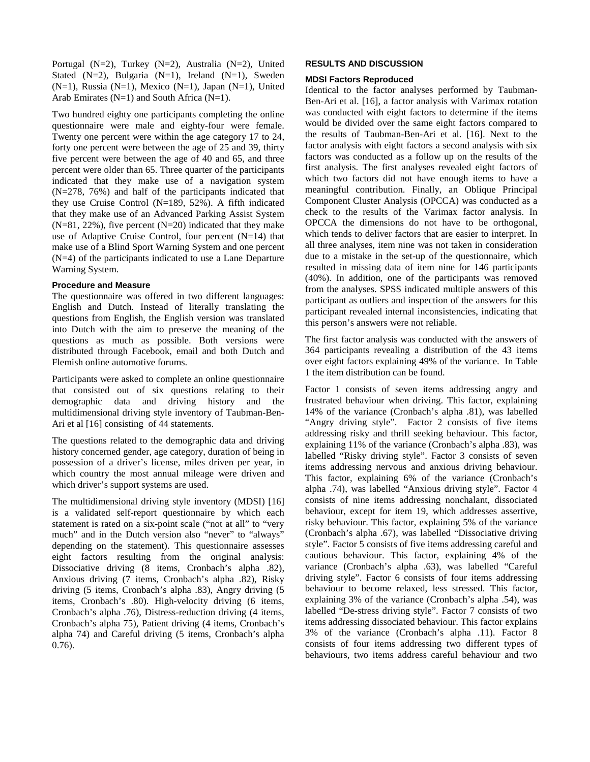Portugal (N=2), Turkey (N=2), Australia (N=2), United Stated  $(N=2)$ , Bulgaria  $(N=1)$ , Ireland  $(N=1)$ , Sweden  $(N=1)$ , Russia  $(N=1)$ , Mexico  $(N=1)$ , Japan  $(N=1)$ , United Arab Emirates (N=1) and South Africa (N=1).

Two hundred eighty one participants completing the online questionnaire were male and eighty-four were female. Twenty one percent were within the age category 17 to 24, forty one percent were between the age of 25 and 39, thirty five percent were between the age of 40 and 65, and three percent were older than 65. Three quarter of the participants indicated that they make use of a navigation system (N=278, 76%) and half of the participants indicated that they use Cruise Control (N=189, 52%). A fifth indicated that they make use of an Advanced Parking Assist System  $(N=81, 22\%)$ , five percent  $(N=20)$  indicated that they make use of Adaptive Cruise Control, four percent  $(N=14)$  that make use of a Blind Sport Warning System and one percent (N=4) of the participants indicated to use a Lane Departure Warning System.

#### **Procedure and Measure**

The questionnaire was offered in two different languages: English and Dutch. Instead of literally translating the questions from English, the English version was translated into Dutch with the aim to preserve the meaning of the questions as much as possible. Both versions were distributed through Facebook, email and both Dutch and Flemish online automotive forums.

Participants were asked to complete an online questionnaire that consisted out of six questions relating to their demographic data and driving history and the multidimensional driving style inventory of Taubman-Ben-Ari et al [16] consisting of 44 statements.

The questions related to the demographic data and driving history concerned gender, age category, duration of being in possession of a driver's license, miles driven per year, in which country the most annual mileage were driven and which driver's support systems are used.

The multidimensional driving style inventory (MDSI) [16] is a validated self-report questionnaire by which each statement is rated on a six-point scale ("not at all" to "very much" and in the Dutch version also "never" to "always" depending on the statement). This questionnaire assesses eight factors resulting from the original analysis: Dissociative driving (8 items, Cronbach's alpha .82), Anxious driving (7 items, Cronbach's alpha .82), Risky driving (5 items, Cronbach's alpha .83), Angry driving (5 items, Cronbach's .80). High-velocity driving (6 items, Cronbach's alpha .76), Distress-reduction driving (4 items, Cronbach's alpha 75), Patient driving (4 items, Cronbach's alpha 74) and Careful driving (5 items, Cronbach's alpha 0.76).

#### **RESULTS AND DISCUSSION**

#### **MDSI Factors Reproduced**

Identical to the factor analyses performed by Taubman-Ben-Ari et al. [16], a factor analysis with Varimax rotation was conducted with eight factors to determine if the items would be divided over the same eight factors compared to the results of Taubman-Ben-Ari et al. [16]. Next to the factor analysis with eight factors a second analysis with six factors was conducted as a follow up on the results of the first analysis. The first analyses revealed eight factors of which two factors did not have enough items to have a meaningful contribution. Finally, an Oblique Principal Component Cluster Analysis (OPCCA) was conducted as a check to the results of the Varimax factor analysis. In OPCCA the dimensions do not have to be orthogonal, which tends to deliver factors that are easier to interpret. In all three analyses, item nine was not taken in consideration due to a mistake in the set-up of the questionnaire, which resulted in missing data of item nine for 146 participants (40%). In addition, one of the participants was removed from the analyses. SPSS indicated multiple answers of this participant as outliers and inspection of the answers for this participant revealed internal inconsistencies, indicating that this person's answers were not reliable.

The first factor analysis was conducted with the answers of 364 participants revealing a distribution of the 43 items over eight factors explaining 49% of the variance. In Table 1 the item distribution can be found.

Factor 1 consists of seven items addressing angry and frustrated behaviour when driving. This factor, explaining 14% of the variance (Cronbach's alpha .81), was labelled "Angry driving style". Factor 2 consists of five items addressing risky and thrill seeking behaviour. This factor, explaining 11% of the variance (Cronbach's alpha .83), was labelled "Risky driving style". Factor 3 consists of seven items addressing nervous and anxious driving behaviour. This factor, explaining 6% of the variance (Cronbach's alpha .74), was labelled "Anxious driving style". Factor 4 consists of nine items addressing nonchalant, dissociated behaviour, except for item 19, which addresses assertive, risky behaviour. This factor, explaining 5% of the variance (Cronbach's alpha .67), was labelled "Dissociative driving style". Factor 5 consists of five items addressing careful and cautious behaviour. This factor, explaining 4% of the variance (Cronbach's alpha .63), was labelled "Careful driving style". Factor 6 consists of four items addressing behaviour to become relaxed, less stressed. This factor, explaining 3% of the variance (Cronbach's alpha .54), was labelled "De-stress driving style". Factor 7 consists of two items addressing dissociated behaviour. This factor explains 3% of the variance (Cronbach's alpha .11). Factor 8 consists of four items addressing two different types of behaviours, two items address careful behaviour and two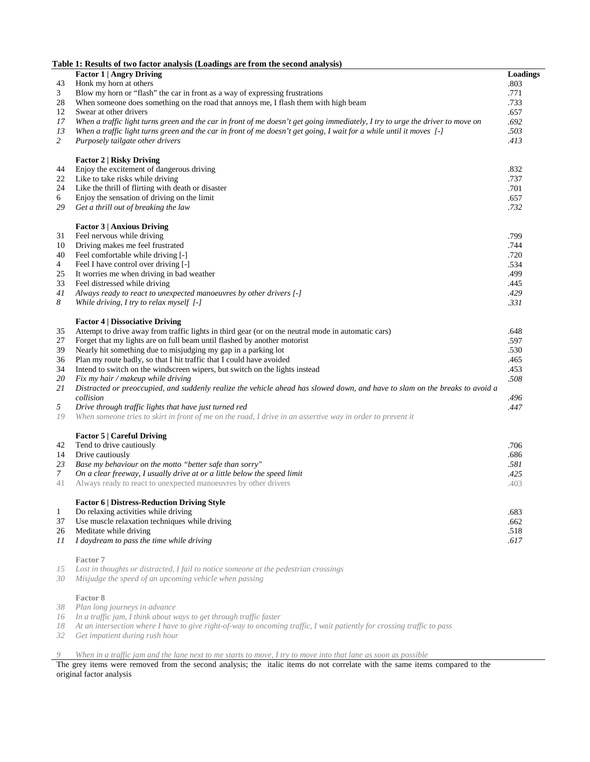# **Table 1: Results of two factor analysis (Loadings are from the second analysis)**

|                  | radie 1. Results of two factor analysis (Loadings are from the second analysis)                                                                                      |          |
|------------------|----------------------------------------------------------------------------------------------------------------------------------------------------------------------|----------|
|                  | <b>Factor 1   Angry Driving</b>                                                                                                                                      | Loadings |
| 43               | Honk my horn at others                                                                                                                                               | .803     |
| 3                | Blow my horn or "flash" the car in front as a way of expressing frustrations                                                                                         | .771     |
| 28               | When someone does something on the road that annoys me, I flash them with high beam                                                                                  | .733     |
| 12               | Swear at other drivers                                                                                                                                               | .657     |
| 17               | When a traffic light turns green and the car in front of me doesn't get going immediately, I try to urge the driver to move on                                       | .692     |
| 13               | When a traffic light turns green and the car in front of me doesn't get going, I wait for a while until it moves $[-]$                                               | .503     |
| $\overline{c}$   | Purposely tailgate other drivers                                                                                                                                     | .413     |
|                  |                                                                                                                                                                      |          |
|                  | <b>Factor 2   Risky Driving</b>                                                                                                                                      |          |
| 44               | Enjoy the excitement of dangerous driving                                                                                                                            | .832     |
| 22               | Like to take risks while driving                                                                                                                                     | .737     |
| 24               | Like the thrill of flirting with death or disaster                                                                                                                   | .701     |
| 6                | Enjoy the sensation of driving on the limit                                                                                                                          | .657     |
| 29               | Get a thrill out of breaking the law                                                                                                                                 | .732     |
|                  | <b>Factor 3   Anxious Driving</b>                                                                                                                                    |          |
| 31               |                                                                                                                                                                      | .799     |
|                  | Feel nervous while driving                                                                                                                                           |          |
| 10               | Driving makes me feel frustrated                                                                                                                                     | .744     |
| 40               | Feel comfortable while driving [-]                                                                                                                                   | .720     |
| 4                | Feel I have control over driving [-]                                                                                                                                 | .534     |
| 25               | It worries me when driving in bad weather                                                                                                                            | .499     |
| 33               | Feel distressed while driving                                                                                                                                        | .445     |
| 41               | Always ready to react to unexpected manoeuvres by other drivers [-]                                                                                                  | .429     |
| 8                | While driving, I try to relax myself [-]                                                                                                                             | .331     |
|                  | <b>Factor 4   Dissociative Driving</b>                                                                                                                               |          |
| 35               | Attempt to drive away from traffic lights in third gear (or on the neutral mode in automatic cars)                                                                   | .648     |
| 27               | Forget that my lights are on full beam until flashed by another motorist                                                                                             | .597     |
| 39               |                                                                                                                                                                      |          |
|                  | Nearly hit something due to misjudging my gap in a parking lot                                                                                                       | .530     |
| 36               | Plan my route badly, so that I hit traffic that I could have avoided                                                                                                 | .465     |
| 34               | Intend to switch on the windscreen wipers, but switch on the lights instead                                                                                          | .453     |
| 20               | Fix my hair / makeup while driving                                                                                                                                   | .508     |
| 21               | Distracted or preoccupied, and suddenly realize the vehicle ahead has slowed down, and have to slam on the breaks to avoid a<br>collision                            | .496     |
|                  |                                                                                                                                                                      |          |
| 5<br>19          | Drive through traffic lights that have just turned red<br>When someone tries to skirt in front of me on the road, I drive in an assertive way in order to prevent it | .447     |
|                  |                                                                                                                                                                      |          |
| 42               | <b>Factor 5   Careful Driving</b><br>Tend to drive cautiously                                                                                                        | .706     |
|                  |                                                                                                                                                                      |          |
| 14               | Drive cautiously                                                                                                                                                     | .686     |
| 23               | Base my behaviour on the motto "better safe than sorry"                                                                                                              | .581     |
| $\boldsymbol{7}$ | On a clear freeway, I usually drive at or a little below the speed limit                                                                                             | .425     |
| 41               | Always ready to react to unexpected manoeuvres by other drivers                                                                                                      | .403     |
|                  | <b>Factor 6   Distress-Reduction Driving Style</b>                                                                                                                   |          |
| $\mathbf{1}$     | Do relaxing activities while driving                                                                                                                                 | .683     |
| 37               | Use muscle relaxation techniques while driving                                                                                                                       | .662     |
| 26               | Meditate while driving                                                                                                                                               | .518     |
| 11               | I daydream to pass the time while driving                                                                                                                            | .617     |
|                  |                                                                                                                                                                      |          |
|                  | Factor 7                                                                                                                                                             |          |
| 15               | Lost in thoughts or distracted, I fail to notice someone at the pedestrian crossings                                                                                 |          |
| 30               | Misjudge the speed of an upcoming vehicle when passing                                                                                                               |          |
|                  | Factor 8                                                                                                                                                             |          |

- *38 Plan long journeys in advance*
- *16 In a traffic jam, I think about ways to get through traffic faster*
- *18 At an intersection where I have to give right-of-way to oncoming traffic, I wait patiently for crossing traffic to pass*
- *32 Get impatient during rush hour*

*9 When in a traffic jam and the lane next to me starts to move, I try to move into that lane as soon as possible*

The grey items were removed from the second analysis; the italic items do not correlate with the same items compared to the original factor analysis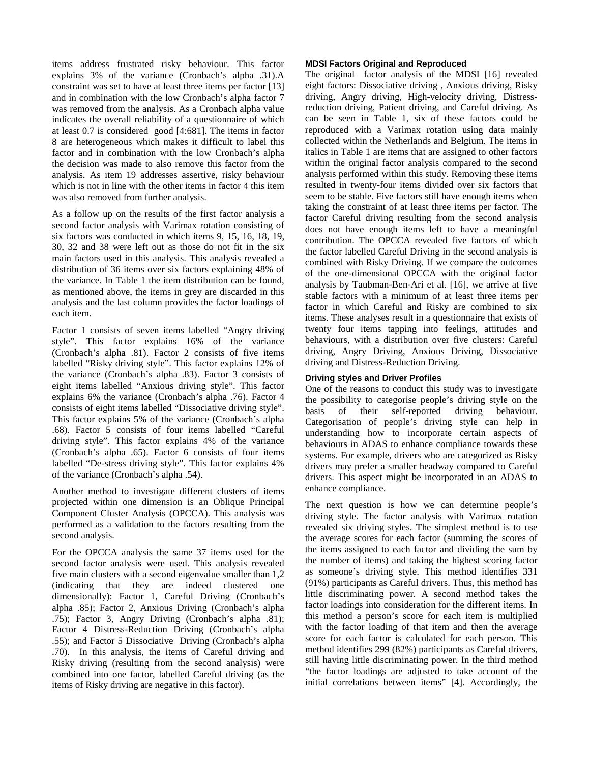items address frustrated risky behaviour. This factor explains 3% of the variance (Cronbach's alpha .31).A constraint was set to have at least three items per factor [13] and in combination with the low Cronbach's alpha factor 7 was removed from the analysis. As a Cronbach alpha value indicates the overall reliability of a questionnaire of which at least 0.7 is considered good [4:681]. The items in factor 8 are heterogeneous which makes it difficult to label this factor and in combination with the low Cronbach's alpha the decision was made to also remove this factor from the analysis. As item 19 addresses assertive, risky behaviour which is not in line with the other items in factor 4 this item was also removed from further analysis.

As a follow up on the results of the first factor analysis a second factor analysis with Varimax rotation consisting of six factors was conducted in which items 9, 15, 16, 18, 19, 30, 32 and 38 were left out as those do not fit in the six main factors used in this analysis. This analysis revealed a distribution of 36 items over six factors explaining 48% of the variance. In Table 1 the item distribution can be found, as mentioned above, the items in grey are discarded in this analysis and the last column provides the factor loadings of each item.

Factor 1 consists of seven items labelled "Angry driving style". This factor explains 16% of the variance (Cronbach's alpha .81). Factor 2 consists of five items labelled "Risky driving style". This factor explains 12% of the variance (Cronbach's alpha .83). Factor 3 consists of eight items labelled "Anxious driving style". This factor explains 6% the variance (Cronbach's alpha .76). Factor 4 consists of eight items labelled "Dissociative driving style". This factor explains 5% of the variance (Cronbach's alpha .68). Factor 5 consists of four items labelled "Careful driving style". This factor explains 4% of the variance (Cronbach's alpha .65). Factor 6 consists of four items labelled "De-stress driving style". This factor explains 4% of the variance (Cronbach's alpha .54).

Another method to investigate different clusters of items projected within one dimension is an Oblique Principal Component Cluster Analysis (OPCCA). This analysis was performed as a validation to the factors resulting from the second analysis.

For the OPCCA analysis the same 37 items used for the second factor analysis were used. This analysis revealed five main clusters with a second eigenvalue smaller than 1,2 (indicating that they are indeed clustered one dimensionally): Factor 1, Careful Driving (Cronbach's alpha .85); Factor 2, Anxious Driving (Cronbach's alpha .75); Factor 3, Angry Driving (Cronbach's alpha .81); Factor 4 Distress-Reduction Driving (Cronbach's alpha .55); and Factor 5 Dissociative Driving (Cronbach's alpha .70). In this analysis, the items of Careful driving and Risky driving (resulting from the second analysis) were combined into one factor, labelled Careful driving (as the items of Risky driving are negative in this factor).

#### **MDSI Factors Original and Reproduced**

The original factor analysis of the MDSI [16] revealed eight factors: Dissociative driving , Anxious driving, Risky driving, Angry driving, High-velocity driving, Distressreduction driving, Patient driving, and Careful driving. As can be seen in Table 1, six of these factors could be reproduced with a Varimax rotation using data mainly collected within the Netherlands and Belgium. The items in italics in Table 1 are items that are assigned to other factors within the original factor analysis compared to the second analysis performed within this study. Removing these items resulted in twenty-four items divided over six factors that seem to be stable. Five factors still have enough items when taking the constraint of at least three items per factor. The factor Careful driving resulting from the second analysis does not have enough items left to have a meaningful contribution. The OPCCA revealed five factors of which the factor labelled Careful Driving in the second analysis is combined with Risky Driving. If we compare the outcomes of the one-dimensional OPCCA with the original factor analysis by Taubman-Ben-Ari et al. [16], we arrive at five stable factors with a minimum of at least three items per factor in which Careful and Risky are combined to six items. These analyses result in a questionnaire that exists of twenty four items tapping into feelings, attitudes and behaviours, with a distribution over five clusters: Careful driving, Angry Driving, Anxious Driving, Dissociative driving and Distress-Reduction Driving.

#### **Driving styles and Driver Profiles**

One of the reasons to conduct this study was to investigate the possibility to categorise people's driving style on the basis of their self-reported driving behaviour. Categorisation of people's driving style can help in understanding how to incorporate certain aspects of behaviours in ADAS to enhance compliance towards these systems. For example, drivers who are categorized as Risky drivers may prefer a smaller headway compared to Careful drivers. This aspect might be incorporated in an ADAS to enhance compliance.

The next question is how we can determine people's driving style. The factor analysis with Varimax rotation revealed six driving styles. The simplest method is to use the average scores for each factor (summing the scores of the items assigned to each factor and dividing the sum by the number of items) and taking the highest scoring factor as someone's driving style. This method identifies 331 (91%) participants as Careful drivers. Thus, this method has little discriminating power. A second method takes the factor loadings into consideration for the different items. In this method a person's score for each item is multiplied with the factor loading of that item and then the average score for each factor is calculated for each person. This method identifies 299 (82%) participants as Careful drivers, still having little discriminating power. In the third method "the factor loadings are adjusted to take account of the initial correlations between items" [4]. Accordingly, the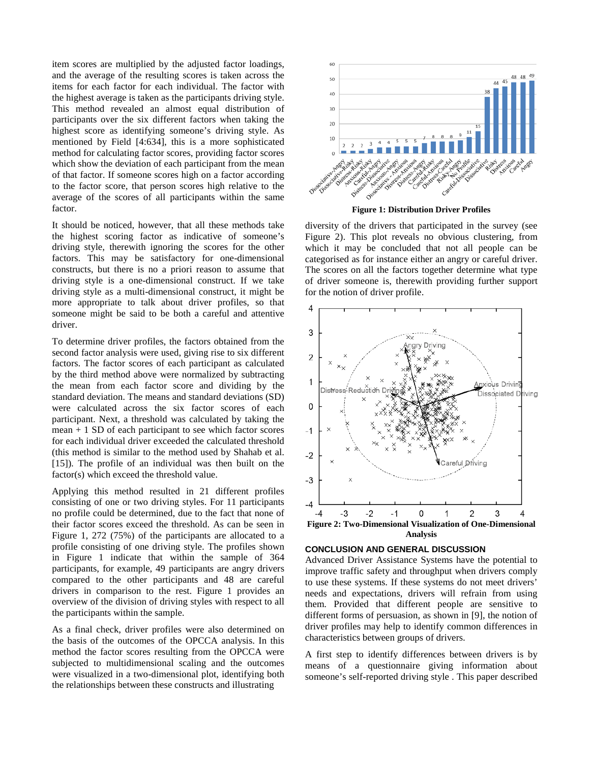item scores are multiplied by the adjusted factor loadings, and the average of the resulting scores is taken across the items for each factor for each individual. The factor with the highest average is taken as the participants driving style. This method revealed an almost equal distribution of participants over the six different factors when taking the highest score as identifying someone's driving style. As mentioned by Field [4:634], this is a more sophisticated method for calculating factor scores, providing factor scores which show the deviation of each participant from the mean of that factor. If someone scores high on a factor according to the factor score, that person scores high relative to the average of the scores of all participants within the same factor.

It should be noticed, however, that all these methods take the highest scoring factor as indicative of someone's driving style, therewith ignoring the scores for the other factors. This may be satisfactory for one-dimensional constructs, but there is no a priori reason to assume that driving style is a one-dimensional construct. If we take driving style as a multi-dimensional construct, it might be more appropriate to talk about driver profiles, so that someone might be said to be both a careful and attentive driver.

To determine driver profiles, the factors obtained from the second factor analysis were used, giving rise to six different factors. The factor scores of each participant as calculated by the third method above were normalized by subtracting the mean from each factor score and dividing by the standard deviation. The means and standard deviations (SD) were calculated across the six factor scores of each participant. Next, a threshold was calculated by taking the  $mean + 1$  SD of each participant to see which factor scores for each individual driver exceeded the calculated threshold (this method is similar to the method used by Shahab et al. [15]). The profile of an individual was then built on the factor(s) which exceed the threshold value.

Applying this method resulted in 21 different profiles consisting of one or two driving styles. For 11 participants no profile could be determined, due to the fact that none of their factor scores exceed the threshold. As can be seen in Figure 1, 272 (75%) of the participants are allocated to a profile consisting of one driving style. The profiles shown in Figure 1 indicate that within the sample of 364 participants, for example, 49 participants are angry drivers compared to the other participants and 48 are careful drivers in comparison to the rest. Figure 1 provides an overview of the division of driving styles with respect to all the participants within the sample.

As a final check, driver profiles were also determined on the basis of the outcomes of the OPCCA analysis. In this method the factor scores resulting from the OPCCA were subjected to multidimensional scaling and the outcomes were visualized in a two-dimensional plot, identifying both the relationships between these constructs and illustrating



**Figure 1: Distribution Driver Profiles**

diversity of the drivers that participated in the survey (see Figure 2). This plot reveals no obvious clustering, from which it may be concluded that not all people can be categorised as for instance either an angry or careful driver. The scores on all the factors together determine what type of driver someone is, therewith providing further support for the notion of driver profile.



#### **CONCLUSION AND GENERAL DISCUSSION**

Advanced Driver Assistance Systems have the potential to improve traffic safety and throughput when drivers comply to use these systems. If these systems do not meet drivers' needs and expectations, drivers will refrain from using them. Provided that different people are sensitive to different forms of persuasion, as shown in [9], the notion of driver profiles may help to identify common differences in characteristics between groups of drivers.

A first step to identify differences between drivers is by means of a questionnaire giving information about someone's self-reported driving style . This paper described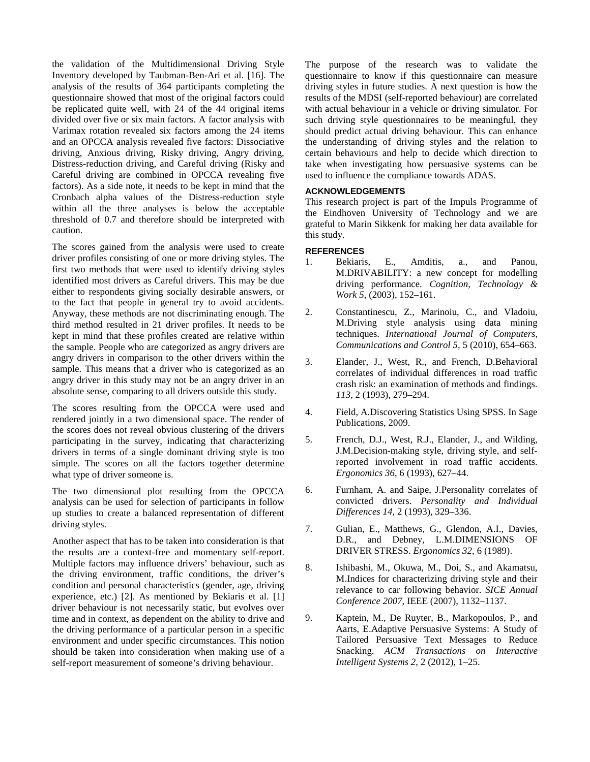the validation of the Multidimensional Driving Style Inventory developed by Taubman-Ben-Ari et al. [16]. The analysis of the results of 364 participants completing the questionnaire showed that most of the original factors could be replicated quite well, with 24 of the 44 original items divided over five or six main factors. A factor analysis with Varimax rotation revealed six factors among the 24 items and an OPCCA analysis revealed five factors: Dissociative driving, Anxious driving, Risky driving, Angry driving, Distress-reduction driving, and Careful driving (Risky and Careful driving are combined in OPCCA revealing five factors). As a side note, it needs to be kept in mind that the Cronbach alpha values of the Distress-reduction style within all the three analyses is below the acceptable threshold of 0.7 and therefore should be interpreted with caution.

The scores gained from the analysis were used to create driver profiles consisting of one or more driving styles. The first two methods that were used to identify driving styles identified most drivers as Careful drivers. This may be due either to respondents giving socially desirable answers, or to the fact that people in general try to avoid accidents. Anyway, these methods are not discriminating enough. The third method resulted in 21 driver profiles. It needs to be kept in mind that these profiles created are relative within the sample. People who are categorized as angry drivers are angry drivers in comparison to the other drivers within the sample. This means that a driver who is categorized as an angry driver in this study may not be an angry driver in an absolute sense, comparing to all drivers outside this study.

The scores resulting from the OPCCA were used and rendered jointly in a two dimensional space. The render of the scores does not reveal obvious clustering of the drivers participating in the survey, indicating that characterizing drivers in terms of a single dominant driving style is too simple. The scores on all the factors together determine what type of driver someone is.

The two dimensional plot resulting from the OPCCA analysis can be used for selection of participants in follow up studies to create a balanced representation of different driving styles.

Another aspect that has to be taken into consideration is that the results are a context-free and momentary self-report. Multiple factors may influence drivers' behaviour, such as the driving environment, traffic conditions, the driver's condition and personal characteristics (gender, age, driving experience, etc.) [2]. As mentioned by Bekiaris et al. [1] driver behaviour is not necessarily static, but evolves over time and in context, as dependent on the ability to drive and the driving performance of a particular person in a specific environment and under specific circumstances. This notion should be taken into consideration when making use of a self-report measurement of someone's driving behaviour.

The purpose of the research was to validate the questionnaire to know if this questionnaire can measure driving styles in future studies. A next question is how the results of the MDSI (self-reported behaviour) are correlated with actual behaviour in a vehicle or driving simulator. For such driving style questionnaires to be meaningful, they should predict actual driving behaviour. This can enhance the understanding of driving styles and the relation to certain behaviours and help to decide which direction to take when investigating how persuasive systems can be used to influence the compliance towards ADAS.

#### **ACKNOWLEDGEMENTS**

This research project is part of the Impuls Programme of the Eindhoven University of Technology and we are grateful to Marin Sikkenk for making her data available for this study.

#### **REFERENCES**

- 1. Bekiaris, E., Amditis, a., and Panou, M.DRIVABILITY: a new concept for modelling driving performance. *Cognition, Technology & Work 5*, (2003), 152–161.
- 2. Constantinescu, Z., Marinoiu, C., and Vladoiu, M.Driving style analysis using data mining techniques. *International Journal of Computers, Communications and Control 5*, 5 (2010), 654–663.
- 3. Elander, J., West, R., and French, D.Behavioral correlates of individual differences in road traffic crash risk: an examination of methods and findings. *113*, 2 (1993), 279–294.
- 4. Field, A.Discovering Statistics Using SPSS. In Sage Publications, 2009.
- 5. French, D.J., West, R.J., Elander, J., and Wilding, J.M.Decision-making style, driving style, and selfreported involvement in road traffic accidents. *Ergonomics 36*, 6 (1993), 627–44.
- 6. Furnham, A. and Saipe, J.Personality correlates of convicted drivers. *Personality and Individual Differences 14*, 2 (1993), 329–336.
- 7. Gulian, E., Matthews, G., Glendon, A.I., Davies, D.R., and Debney, L.M.DIMENSIONS OF DRIVER STRESS. *Ergonomics 32*, 6 (1989).
- 8. Ishibashi, M., Okuwa, M., Doi, S., and Akamatsu, M.Indices for characterizing driving style and their relevance to car following behavior. *SICE Annual Conference 2007*, IEEE (2007), 1132–1137.
- 9. Kaptein, M., De Ruyter, B., Markopoulos, P., and Aarts, E.Adaptive Persuasive Systems: A Study of Tailored Persuasive Text Messages to Reduce Snacking. *ACM Transactions on Interactive Intelligent Systems 2*, 2 (2012), 1–25.